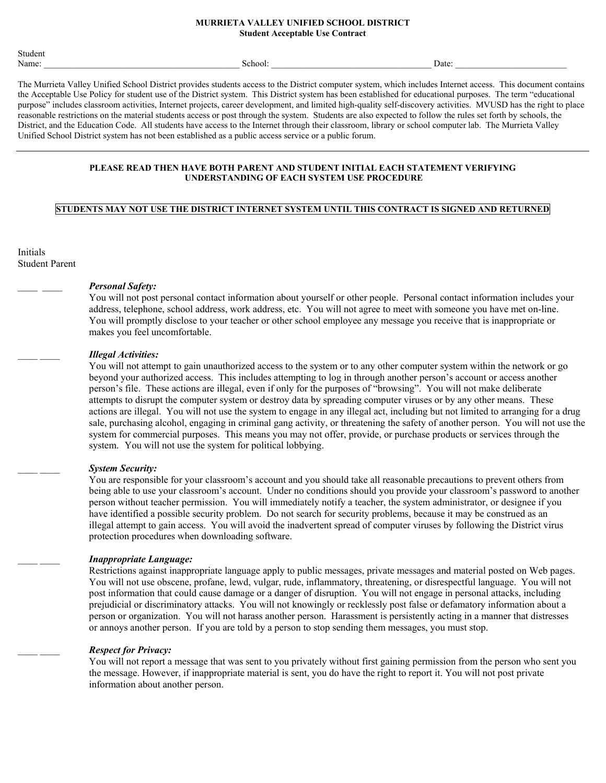#### **MURRIETA VALLEY UNIFIED SCHOOL DISTRICT Student Acceptable Use Contract**

| . .<br>Student |                   |       |  |
|----------------|-------------------|-------|--|
| Name:          | $\sim$<br>School: | Date: |  |

The Murrieta Valley Unified School District provides students access to the District computer system, which includes Internet access. This document contains the Acceptable Use Policy for student use of the District system. This District system has been established for educational purposes. The term "educational purpose" includes classroom activities, Internet projects, career development, and limited high-quality self-discovery activities. MVUSD has the right to place reasonable restrictions on the material students access or post through the system. Students are also expected to follow the rules set forth by schools, the District, and the Education Code. All students have access to the Internet through their classroom, library or school computer lab. The Murrieta Valley Unified School District system has not been established as a public access service or a public forum.

### **PLEASE READ THEN HAVE BOTH PARENT AND STUDENT INITIAL EACH STATEMENT VERIFYING UNDERSTANDING OF EACH SYSTEM USE PROCEDURE**

## **STUDENTS MAY NOT USE THE DISTRICT INTERNET SYSTEM UNTIL THIS CONTRACT IS SIGNED AND RETURNED**

Initials Student Parent

### \_\_\_\_ \_\_\_\_ *Personal Safety:*

You will not post personal contact information about yourself or other people. Personal contact information includes your address, telephone, school address, work address, etc. You will not agree to meet with someone you have met on-line. You will promptly disclose to your teacher or other school employee any message you receive that is inappropriate or makes you feel uncomfortable.

#### \_\_\_\_ \_\_\_\_ *Illegal Activities:*

You will not attempt to gain unauthorized access to the system or to any other computer system within the network or go beyond your authorized access. This includes attempting to log in through another person's account or access another person's file. These actions are illegal, even if only for the purposes of "browsing". You will not make deliberate attempts to disrupt the computer system or destroy data by spreading computer viruses or by any other means. These actions are illegal. You will not use the system to engage in any illegal act, including but not limited to arranging for a drug sale, purchasing alcohol, engaging in criminal gang activity, or threatening the safety of another person. You will not use the system for commercial purposes. This means you may not offer, provide, or purchase products or services through the system. You will not use the system for political lobbying.

### \_\_\_\_ \_\_\_\_ *System Security:*

You are responsible for your classroom's account and you should take all reasonable precautions to prevent others from being able to use your classroom's account. Under no conditions should you provide your classroom's password to another person without teacher permission. You will immediately notify a teacher, the system administrator, or designee if you have identified a possible security problem. Do not search for security problems, because it may be construed as an illegal attempt to gain access. You will avoid the inadvertent spread of computer viruses by following the District virus protection procedures when downloading software.

### \_\_\_\_ \_\_\_\_ *Inappropriate Language:*

Restrictions against inappropriate language apply to public messages, private messages and material posted on Web pages. You will not use obscene, profane, lewd, vulgar, rude, inflammatory, threatening, or disrespectful language. You will not post information that could cause damage or a danger of disruption. You will not engage in personal attacks, including prejudicial or discriminatory attacks. You will not knowingly or recklessly post false or defamatory information about a person or organization. You will not harass another person. Harassment is persistently acting in a manner that distresses or annoys another person. If you are told by a person to stop sending them messages, you must stop.

### \_\_\_\_ \_\_\_\_ *Respect for Privacy:*

You will not report a message that was sent to you privately without first gaining permission from the person who sent you the message. However, if inappropriate material is sent, you do have the right to report it. You will not post private information about another person.